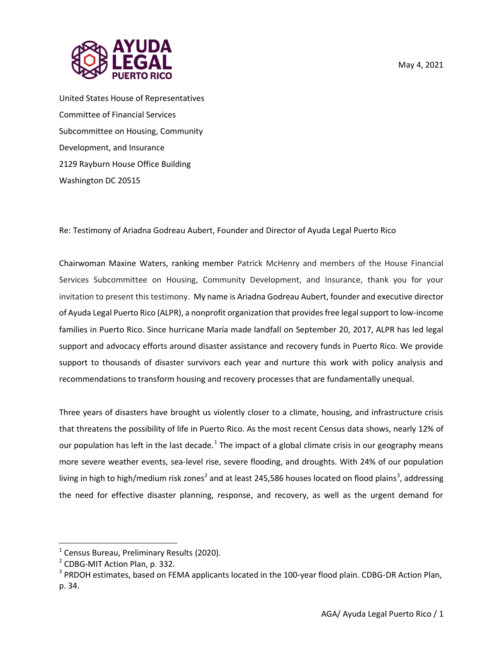



United States House of Representatives Committee of Financial Services Subcommittee on Housing, Community Development, and Insurance 2129 Rayburn House Office Building Washington DC 20515

Re: Testimony of Ariadna Godreau Aubert, Founder and Director of Ayuda Legal Puerto Rico

Chairwoman Maxine Waters, ranking member Patrick McHenry and members of the House Financial Services Subcommittee on Housing, Community Development, and Insurance, thank you for your invitation to present this testimony. My name is Ariadna Godreau Aubert, founder and executive director of Ayuda Legal Puerto Rico (ALPR), a nonprofit organization that provides free legal support to low-income families in Puerto Rico. Since hurricane María made landfall on September 20, 2017, ALPR has led legal support and advocacy efforts around disaster assistance and recovery funds in Puerto Rico. We provide support to thousands of disaster survivors each year and nurture this work with policy analysis and recommendations to transform housing and recovery processes that are fundamentally unequal.

Three years of disasters have brought us violently closer to a climate, housing, and infrastructure crisis that threatens the possibility of life in Puerto Rico. As the most recent Census data shows, nearly 12% of our population has left in the last decade.<sup>1</sup> The impact of a global climate crisis in our geography means more severe weather events, sea-level rise, severe flooding, and droughts. With 24% of our population living in high to high/medium risk zones<sup>2</sup> and at least 245,586 houses located on flood plains<sup>3</sup>, addressing the need for effective disaster planning, response, and recovery, as well as the urgent demand for

<sup>&</sup>lt;sup>1</sup> Census Bureau, Preliminary Results (2020).

<sup>&</sup>lt;sup>2</sup> CDBG-MIT Action Plan, p. 332.

<sup>&</sup>lt;sup>3</sup> PRDOH estimates, based on FEMA applicants located in the 100-year flood plain. CDBG-DR Action Plan, p. 34.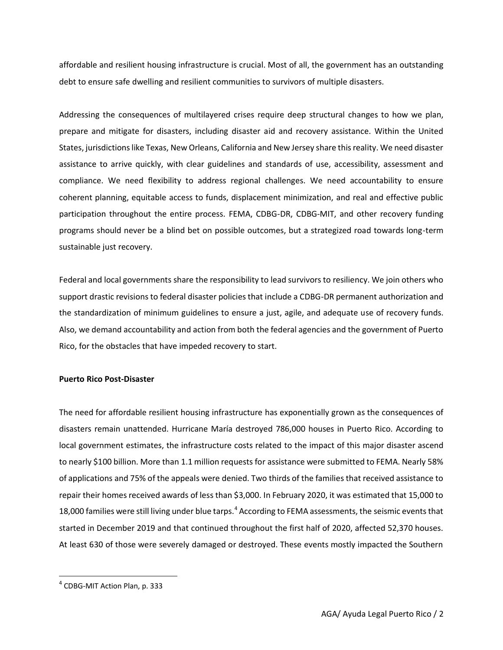affordable and resilient housing infrastructure is crucial. Most of all, the government has an outstanding debt to ensure safe dwelling and resilient communities to survivors of multiple disasters.

Addressing the consequences of multilayered crises require deep structural changes to how we plan, prepare and mitigate for disasters, including disaster aid and recovery assistance. Within the United States, jurisdictions like Texas, New Orleans, California and New Jersey share this reality. We need disaster assistance to arrive quickly, with clear guidelines and standards of use, accessibility, assessment and compliance. We need flexibility to address regional challenges. We need accountability to ensure coherent planning, equitable access to funds, displacement minimization, and real and effective public participation throughout the entire process. FEMA, CDBG-DR, CDBG-MIT, and other recovery funding programs should never be a blind bet on possible outcomes, but a strategized road towards long-term sustainable just recovery.

Federal and local governments share the responsibility to lead survivors to resiliency. We join others who support drastic revisions to federal disaster policies that include a CDBG-DR permanent authorization and the standardization of minimum guidelines to ensure a just, agile, and adequate use of recovery funds. Also, we demand accountability and action from both the federal agencies and the government of Puerto Rico, for the obstacles that have impeded recovery to start.

#### **Puerto Rico Post-Disaster**

The need for affordable resilient housing infrastructure has exponentially grown as the consequences of disasters remain unattended. Hurricane María destroyed 786,000 houses in Puerto Rico. According to local government estimates, the infrastructure costs related to the impact of this major disaster ascend to nearly \$100 billion. More than 1.1 million requests for assistance were submitted to FEMA. Nearly 58% of applications and 75% of the appeals were denied. Two thirds of the families that received assistance to repair their homes received awards of less than \$3,000. In February 2020, it was estimated that 15,000 to 18,000 families were still living under blue tarps.<sup>4</sup> According to FEMA assessments, the seismic events that started in December 2019 and that continued throughout the first half of 2020, affected 52,370 houses. At least 630 of those were severely damaged or destroyed. These events mostly impacted the Southern

<sup>&</sup>lt;sup>4</sup> CDBG-MIT Action Plan, p. 333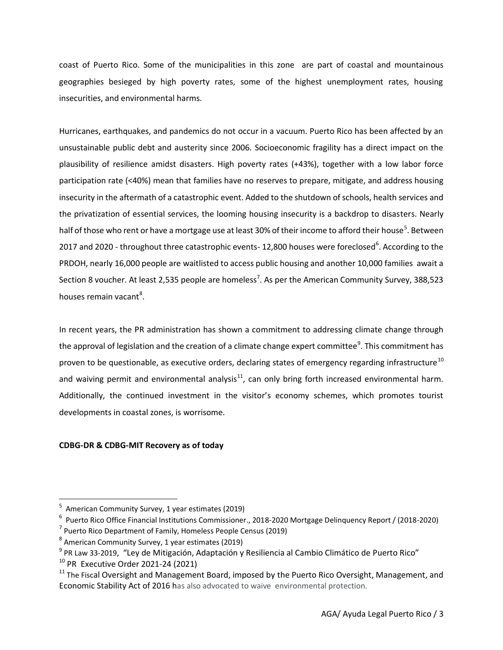coast of Puerto Rico. Some of the municipalities in this zone are part of coastal and mountainous geographies besieged by high poverty rates, some of the highest unemployment rates, housing insecurities, and environmental harms.

Hurricanes, earthquakes, and pandemics do not occur in a vacuum. Puerto Rico has been affected by an unsustainable public debt and austerity since 2006. Socioeconomic fragility has a direct impact on the plausibility of resilience amidst disasters. High poverty rates (+43%), together with a low labor force participation rate (<40%) mean that families have no reserves to prepare, mitigate, and address housing insecurity in the aftermath of a catastrophic event. Added to the shutdown of schools, health services and the privatization of essential services, the looming housing insecurity is a backdrop to disasters. Nearly half of those who rent or have a mortgage use at least 30% of their income to afford their house<sup>5</sup>. Between 2017 and 2020 - throughout three catastrophic events- 12,800 houses were foreclosed<sup>6</sup>. According to the PRDOH, nearly 16,000 people are waitlisted to access public housing and another 10,000 families await a Section 8 voucher. At least 2,535 people are homeless<sup>7</sup>. As per the American Community Survey, 388,523 houses remain vacant<sup>8</sup>.

In recent years, the PR administration has shown a commitment to addressing climate change through the approval of legislation and the creation of a climate change expert committee<sup>9</sup>. This commitment has proven to be questionable, as executive orders, declaring states of emergency regarding infrastructure<sup>10</sup> and waiving permit and environmental analysis $^{11}$ , can only bring forth increased environmental harm. Additionally, the continued investment in the visitor's economy schemes, which promotes tourist developments in coastal zones, is worrisome.

# **CDBG-DR & CDBG-MIT Recovery as of today**

<sup>&</sup>lt;sup>5</sup> American Community Survey, 1 year estimates (2019)

<sup>6</sup> Puerto Rico Office Financial Institutions Commissioner., 2018-2020 Mortgage Delinquency Report / (2018-2020)

<sup>&</sup>lt;sup>7</sup> Puerto Rico Department of Family, Homeless People Census (2019)

<sup>&</sup>lt;sup>8</sup> American Community Survey, 1 year estimates (2019)

<sup>&</sup>lt;sup>9</sup> PR Law 33-2019, "Ley de Mitigación, Adaptación y Resiliencia al Cambio Climático de Puerto Rico"

<sup>10</sup> PR Executive Order 2021-24 (2021)

 $11$  The Fiscal Oversight and Management Board, imposed by the Puerto Rico Oversight, Management, and Economic Stability Act of 2016 has also advocated to waive environmental protection.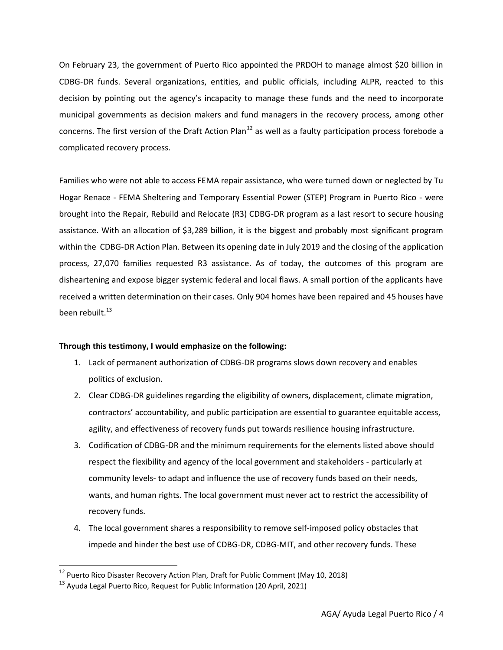On February 23, the government of Puerto Rico appointed the PRDOH to manage almost \$20 billion in CDBG-DR funds. Several organizations, entities, and public officials, including ALPR, reacted to this decision by pointing out the agency's incapacity to manage these funds and the need to incorporate municipal governments as decision makers and fund managers in the recovery process, among other concerns. The first version of the Draft Action Plan<sup>12</sup> as well as a faulty participation process forebode a complicated recovery process.

Families who were not able to access FEMA repair assistance, who were turned down or neglected by Tu Hogar Renace - FEMA Sheltering and Temporary Essential Power (STEP) Program in Puerto Rico - were brought into the Repair, Rebuild and Relocate (R3) CDBG-DR program as a last resort to secure housing assistance. With an allocation of \$3,289 billion, it is the biggest and probably most significant program within the CDBG-DR Action Plan. Between its opening date in July 2019 and the closing of the application process, 27,070 families requested R3 assistance. As of today, the outcomes of this program are disheartening and expose bigger systemic federal and local flaws. A small portion of the applicants have received a written determination on their cases. Only 904 homes have been repaired and 45 houses have been rebuilt. $13$ 

# **Through this testimony, I would emphasize on the following:**

- 1. Lack of permanent authorization of CDBG-DR programs slows down recovery and enables politics of exclusion.
- 2. Clear CDBG-DR guidelines regarding the eligibility of owners, displacement, climate migration, contractors' accountability, and public participation are essential to guarantee equitable access, agility, and effectiveness of recovery funds put towards resilience housing infrastructure.
- 3. Codification of CDBG-DR and the minimum requirements for the elements listed above should respect the flexibility and agency of the local government and stakeholders - particularly at community levels- to adapt and influence the use of recovery funds based on their needs, wants, and human rights. The local government must never act to restrict the accessibility of recovery funds.
- 4. The local government shares a responsibility to remove self-imposed policy obstacles that impede and hinder the best use of CDBG-DR, CDBG-MIT, and other recovery funds. These

<sup>12</sup> Puerto Rico Disaster Recovery Action Plan, Draft for Public Comment (May 10, 2018)

<sup>&</sup>lt;sup>13</sup> Ayuda Legal Puerto Rico, Request for Public Information (20 April, 2021)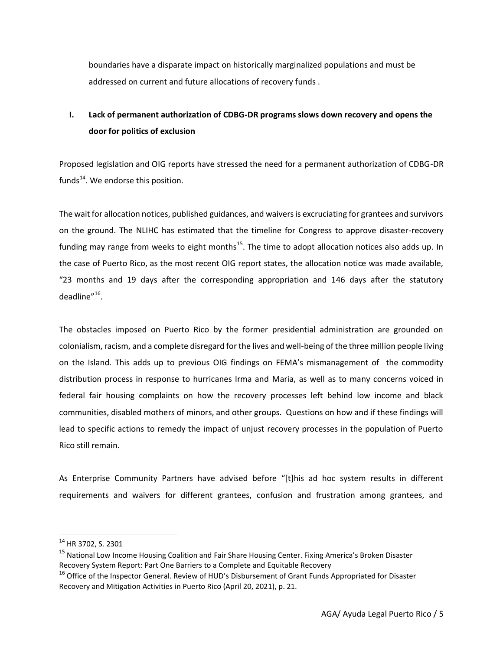boundaries have a disparate impact on historically marginalized populations and must be addressed on current and future allocations of recovery funds .

# **I. Lack of permanent authorization of CDBG-DR programs slows down recovery and opens the door for politics of exclusion**

Proposed legislation and OIG reports have stressed the need for a permanent authorization of CDBG-DR funds $^{14}$ . We endorse this position.

The wait for allocation notices, published guidances, and waivers is excruciating for grantees and survivors on the ground. The NLIHC has estimated that the timeline for Congress to approve disaster-recovery funding may range from weeks to eight months<sup>15</sup>. The time to adopt allocation notices also adds up. In the case of Puerto Rico, as the most recent OIG report states, the allocation notice was made available, "23 months and 19 days after the corresponding appropriation and 146 days after the statutory deadline"<sup>16</sup>.

The obstacles imposed on Puerto Rico by the former presidential administration are grounded on colonialism, racism, and a complete disregard for the lives and well-being of the three million people living on the Island. This adds up to previous OIG findings on FEMA's mismanagement of the commodity distribution process in response to hurricanes Irma and Maria, as well as to many concerns voiced in federal fair housing complaints on how the recovery processes left behind low income and black communities, disabled mothers of minors, and other groups. Questions on how and if these findings will lead to specific actions to remedy the impact of unjust recovery processes in the population of Puerto Rico still remain.

As Enterprise Community Partners have advised before "[t]his ad hoc system results in different requirements and waivers for different grantees, confusion and frustration among grantees, and

<sup>&</sup>lt;sup>14</sup> HR 3702, S. 2301

<sup>&</sup>lt;sup>15</sup> National Low Income Housing Coalition and Fair Share Housing Center. Fixing America's Broken Disaster Recovery System Report: Part One Barriers to a Complete and Equitable Recovery

<sup>&</sup>lt;sup>16</sup> Office of the Inspector General. Review of HUD's Disbursement of Grant Funds Appropriated for Disaster Recovery and Mitigation Activities in Puerto Rico (April 20, 2021), p. 21.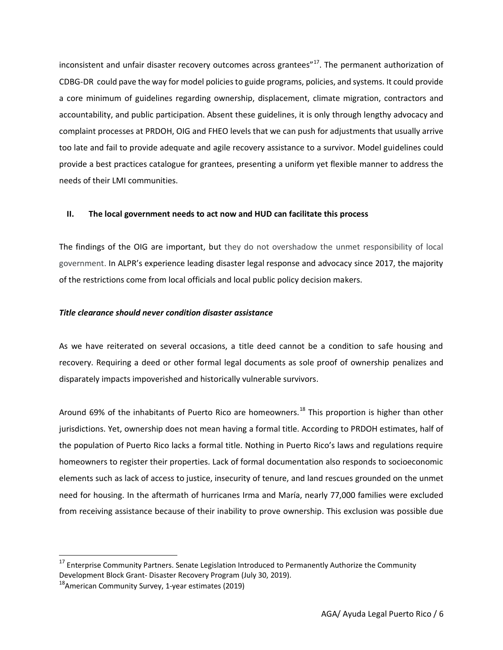inconsistent and unfair disaster recovery outcomes across grantees"<sup>17</sup>. The permanent authorization of CDBG-DR could pave the way for model policies to guide programs, policies, and systems. It could provide a core minimum of guidelines regarding ownership, displacement, climate migration, contractors and accountability, and public participation. Absent these guidelines, it is only through lengthy advocacy and complaint processes at PRDOH, OIG and FHEO levels that we can push for adjustments that usually arrive too late and fail to provide adequate and agile recovery assistance to a survivor. Model guidelines could provide a best practices catalogue for grantees, presenting a uniform yet flexible manner to address the needs of their LMI communities.

#### **II. The local government needs to act now and HUD can facilitate this process**

The findings of the OIG are important, but they do not overshadow the unmet responsibility of local government. In ALPR's experience leading disaster legal response and advocacy since 2017, the majority of the restrictions come from local officials and local public policy decision makers.

#### *Title clearance should never condition disaster assistance*

As we have reiterated on several occasions, a title deed cannot be a condition to safe housing and recovery. Requiring a deed or other formal legal documents as sole proof of ownership penalizes and disparately impacts impoverished and historically vulnerable survivors.

Around 69% of the inhabitants of Puerto Rico are homeowners.<sup>18</sup> This proportion is higher than other jurisdictions. Yet, ownership does not mean having a formal title. According to PRDOH estimates, half of the population of Puerto Rico lacks a formal title. Nothing in Puerto Rico's laws and regulations require homeowners to register their properties. Lack of formal documentation also responds to socioeconomic elements such as lack of access to justice, insecurity of tenure, and land rescues grounded on the unmet need for housing. In the aftermath of hurricanes Irma and María, nearly 77,000 families were excluded from receiving assistance because of their inability to prove ownership. This exclusion was possible due

 $17$  Enterprise Community Partners. Senate Legislation Introduced to Permanently Authorize the Community Development Block Grant- Disaster Recovery Program (July 30, 2019).

 $18$ American Community Survey, 1-year estimates (2019)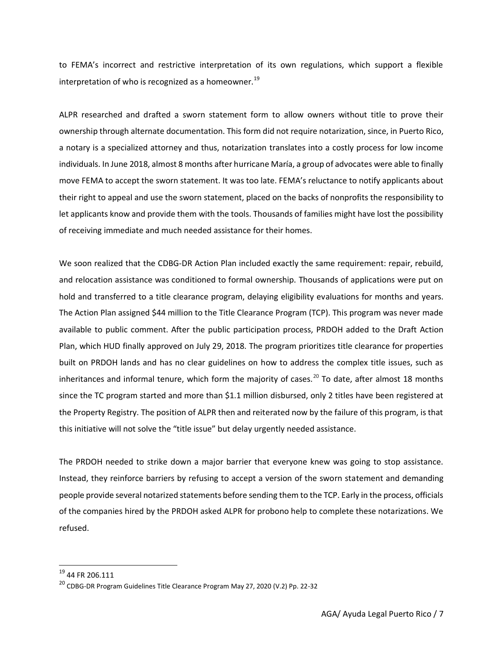to FEMA's incorrect and restrictive interpretation of its own regulations, which support a flexible interpretation of who is recognized as a homeowner. $^{19}$ 

ALPR researched and drafted a sworn statement form to allow owners without title to prove their ownership through alternate documentation. This form did not require notarization, since, in Puerto Rico, a notary is a specialized attorney and thus, notarization translates into a costly process for low income individuals. In June 2018, almost 8 months after hurricane María, a group of advocates were able to finally move FEMA to accept the sworn statement. It was too late. FEMA's reluctance to notify applicants about their right to appeal and use the sworn statement, placed on the backs of nonprofits the responsibility to let applicants know and provide them with the tools. Thousands of families might have lost the possibility of receiving immediate and much needed assistance for their homes.

We soon realized that the CDBG-DR Action Plan included exactly the same requirement: repair, rebuild, and relocation assistance was conditioned to formal ownership. Thousands of applications were put on hold and transferred to a title clearance program, delaying eligibility evaluations for months and years. The Action Plan assigned \$44 million to the Title Clearance Program (TCP). This program was never made available to public comment. After the public participation process, PRDOH added to the Draft Action Plan, which HUD finally approved on July 29, 2018. The program prioritizes title clearance for properties built on PRDOH lands and has no clear guidelines on how to address the complex title issues, such as inheritances and informal tenure, which form the majority of cases.<sup>20</sup> To date, after almost 18 months since the TC program started and more than \$1.1 million disbursed, only 2 titles have been registered at the Property Registry. The position of ALPR then and reiterated now by the failure of this program, is that this initiative will not solve the "title issue" but delay urgently needed assistance.

The PRDOH needed to strike down a major barrier that everyone knew was going to stop assistance. Instead, they reinforce barriers by refusing to accept a version of the sworn statement and demanding people provide several notarized statements before sending them to the TCP. Early in the process, officials of the companies hired by the PRDOH asked ALPR for probono help to complete these notarizations. We refused.

<sup>19</sup> 44 FR 206.111

<sup>20</sup> CDBG-DR Program Guidelines Title Clearance Program May 27, 2020 (V.2) Pp. 22-32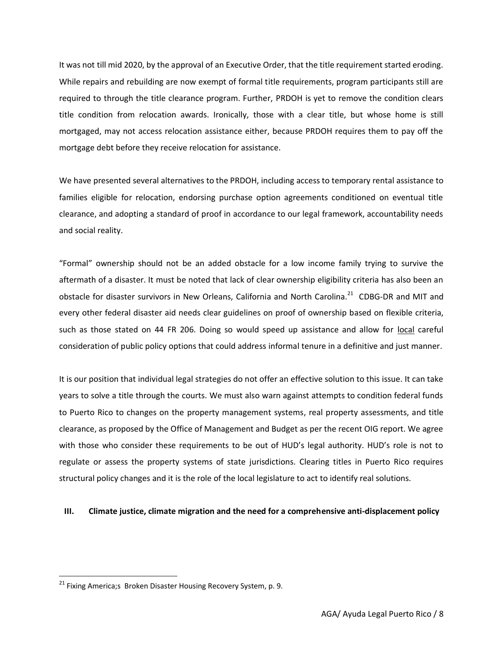It was not till mid 2020, by the approval of an Executive Order, that the title requirement started eroding. While repairs and rebuilding are now exempt of formal title requirements, program participants still are required to through the title clearance program. Further, PRDOH is yet to remove the condition clears title condition from relocation awards. Ironically, those with a clear title, but whose home is still mortgaged, may not access relocation assistance either, because PRDOH requires them to pay off the mortgage debt before they receive relocation for assistance.

We have presented several alternatives to the PRDOH, including access to temporary rental assistance to families eligible for relocation, endorsing purchase option agreements conditioned on eventual title clearance, and adopting a standard of proof in accordance to our legal framework, accountability needs and social reality.

"Formal" ownership should not be an added obstacle for a low income family trying to survive the aftermath of a disaster. It must be noted that lack of clear ownership eligibility criteria has also been an obstacle for disaster survivors in New Orleans, California and North Carolina.<sup>21</sup> CDBG-DR and MIT and every other federal disaster aid needs clear guidelines on proof of ownership based on flexible criteria, such as those stated on 44 FR 206. Doing so would speed up assistance and allow for local careful consideration of public policy options that could address informal tenure in a definitive and just manner.

It is our position that individual legal strategies do not offer an effective solution to this issue. It can take years to solve a title through the courts. We must also warn against attempts to condition federal funds to Puerto Rico to changes on the property management systems, real property assessments, and title clearance, as proposed by the Office of Management and Budget as per the recent OIG report. We agree with those who consider these requirements to be out of HUD's legal authority. HUD's role is not to regulate or assess the property systems of state jurisdictions. Clearing titles in Puerto Rico requires structural policy changes and it is the role of the local legislature to act to identify real solutions.

## **III. Climate justice, climate migration and the need for a comprehensive anti-displacement policy**

<sup>&</sup>lt;sup>21</sup> Fixing America;s Broken Disaster Housing Recovery System, p. 9.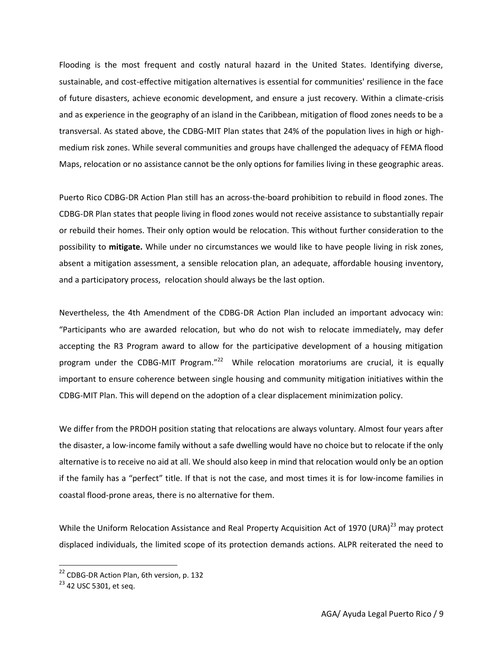Flooding is the most frequent and costly natural hazard in the United States. Identifying diverse, sustainable, and cost-effective mitigation alternatives is essential for communities' resilience in the face of future disasters, achieve economic development, and ensure a just recovery. Within a climate-crisis and as experience in the geography of an island in the Caribbean, mitigation of flood zones needs to be a transversal. As stated above, the CDBG-MIT Plan states that 24% of the population lives in high or highmedium risk zones. While several communities and groups have challenged the adequacy of FEMA flood Maps, relocation or no assistance cannot be the only options for families living in these geographic areas.

Puerto Rico CDBG-DR Action Plan still has an across-the-board prohibition to rebuild in flood zones. The CDBG-DR Plan states that people living in flood zones would not receive assistance to substantially repair or rebuild their homes. Their only option would be relocation. This without further consideration to the possibility to **mitigate.** While under no circumstances we would like to have people living in risk zones, absent a mitigation assessment, a sensible relocation plan, an adequate, affordable housing inventory, and a participatory process, relocation should always be the last option.

Nevertheless, the 4th Amendment of the CDBG-DR Action Plan included an important advocacy win: "Participants who are awarded relocation, but who do not wish to relocate immediately, may defer accepting the R3 Program award to allow for the participative development of a housing mitigation program under the CDBG-MIT Program."<sup>22</sup> While relocation moratoriums are crucial, it is equally important to ensure coherence between single housing and community mitigation initiatives within the CDBG-MIT Plan. This will depend on the adoption of a clear displacement minimization policy.

We differ from the PRDOH position stating that relocations are always voluntary. Almost four years after the disaster, a low-income family without a safe dwelling would have no choice but to relocate if the only alternative is to receive no aid at all. We should also keep in mind that relocation would only be an option if the family has a "perfect" title. If that is not the case, and most times it is for low-income families in coastal flood-prone areas, there is no alternative for them.

While the Uniform Relocation Assistance and Real Property Acquisition Act of 1970 (URA) $^{23}$  may protect displaced individuals, the limited scope of its protection demands actions. ALPR reiterated the need to

<sup>&</sup>lt;sup>22</sup> CDBG-DR Action Plan, 6th version, p. 132

<sup>&</sup>lt;sup>23</sup> 42 USC 5301, et seq.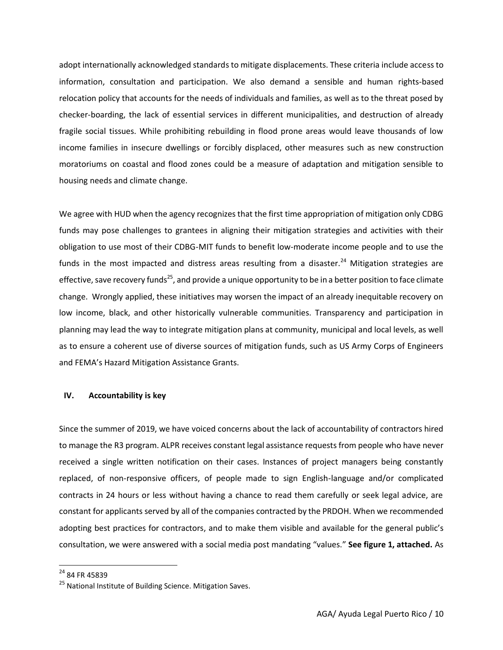adopt internationally acknowledged standards to mitigate displacements. These criteria include access to information, consultation and participation. We also demand a sensible and human rights-based relocation policy that accounts for the needs of individuals and families, as well as to the threat posed by checker-boarding, the lack of essential services in different municipalities, and destruction of already fragile social tissues. While prohibiting rebuilding in flood prone areas would leave thousands of low income families in insecure dwellings or forcibly displaced, other measures such as new construction moratoriums on coastal and flood zones could be a measure of adaptation and mitigation sensible to housing needs and climate change.

We agree with HUD when the agency recognizes that the first time appropriation of mitigation only CDBG funds may pose challenges to grantees in aligning their mitigation strategies and activities with their obligation to use most of their CDBG-MIT funds to benefit low-moderate income people and to use the funds in the most impacted and distress areas resulting from a disaster.<sup>24</sup> Mitigation strategies are effective, save recovery funds<sup>25</sup>, and provide a unique opportunity to be in a better position to face climate change. Wrongly applied, these initiatives may worsen the impact of an already inequitable recovery on low income, black, and other historically vulnerable communities. Transparency and participation in planning may lead the way to integrate mitigation plans at community, municipal and local levels, as well as to ensure a coherent use of diverse sources of mitigation funds, such as US Army Corps of Engineers and FEMA's Hazard Mitigation Assistance Grants.

### **IV. Accountability is key**

Since the summer of 2019, we have voiced concerns about the lack of accountability of contractors hired to manage the R3 program. ALPR receives constant legal assistance requests from people who have never received a single written notification on their cases. Instances of project managers being constantly replaced, of non-responsive officers, of people made to sign English-language and/or complicated contracts in 24 hours or less without having a chance to read them carefully or seek legal advice, are constant for applicants served by all of the companies contracted by the PRDOH. When we recommended adopting best practices for contractors, and to make them visible and available for the general public's consultation, we were answered with a social media post mandating "values." **See figure 1, attached.** As

<sup>24</sup> 84 FR 45839

<sup>&</sup>lt;sup>25</sup> National Institute of Building Science. Mitigation Saves.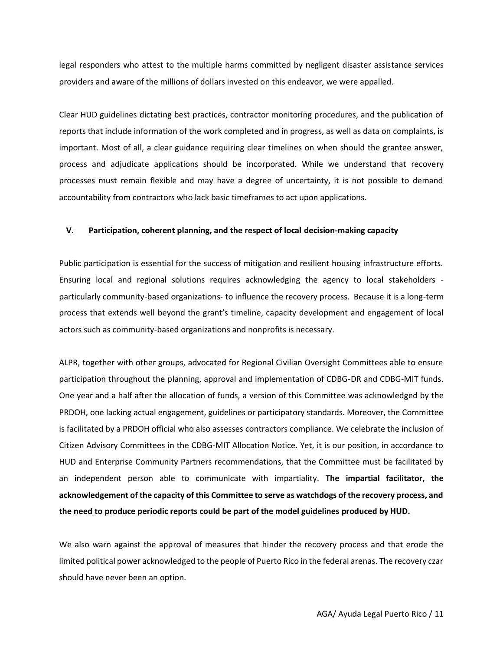legal responders who attest to the multiple harms committed by negligent disaster assistance services providers and aware of the millions of dollars invested on this endeavor, we were appalled.

Clear HUD guidelines dictating best practices, contractor monitoring procedures, and the publication of reports that include information of the work completed and in progress, as well as data on complaints, is important. Most of all, a clear guidance requiring clear timelines on when should the grantee answer, process and adjudicate applications should be incorporated. While we understand that recovery processes must remain flexible and may have a degree of uncertainty, it is not possible to demand accountability from contractors who lack basic timeframes to act upon applications.

## **V. Participation, coherent planning, and the respect of local decision-making capacity**

Public participation is essential for the success of mitigation and resilient housing infrastructure efforts. Ensuring local and regional solutions requires acknowledging the agency to local stakeholders particularly community-based organizations- to influence the recovery process. Because it is a long-term process that extends well beyond the grant's timeline, capacity development and engagement of local actors such as community-based organizations and nonprofits is necessary.

ALPR, together with other groups, advocated for Regional Civilian Oversight Committees able to ensure participation throughout the planning, approval and implementation of CDBG-DR and CDBG-MIT funds. One year and a half after the allocation of funds, a version of this Committee was acknowledged by the PRDOH, one lacking actual engagement, guidelines or participatory standards. Moreover, the Committee is facilitated by a PRDOH official who also assesses contractors compliance. We celebrate the inclusion of Citizen Advisory Committees in the CDBG-MIT Allocation Notice. Yet, it is our position, in accordance to HUD and Enterprise Community Partners recommendations, that the Committee must be facilitated by an independent person able to communicate with impartiality. **The impartial facilitator, the acknowledgement of the capacity of this Committee to serve as watchdogs of the recovery process, and the need to produce periodic reports could be part of the model guidelines produced by HUD.**

We also warn against the approval of measures that hinder the recovery process and that erode the limited political power acknowledged to the people of Puerto Rico in the federal arenas. The recovery czar should have never been an option.